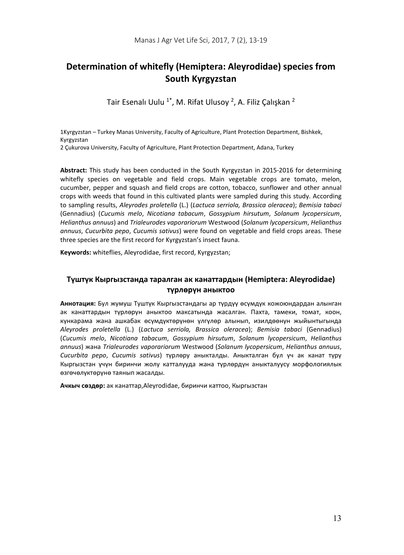# **Determination of whitefly (Hemiptera: Aleyrodidae) species from South Kyrgyzstan**

Tair Esenalı Uulu 1\*, M. Rifat Ulusoy 2, A. Filiz Çalışkan 2

1Kyrgyzstan – Turkey Manas University, Faculty of Agriculture, Plant Protection Department, Bishkek, Kyrgyzstan 2 Çukurova University, Faculty of Agriculture, Plant Protection Department, Adana, Turkey

**Abstract:** This study has been conducted in the South Kyrgyzstan in 2015-2016 for determining whitefly species on vegetable and field crops. Main vegetable crops are tomato, melon, cucumber, pepper and squash and field crops are cotton, tobacco, sunflower and other annual crops with weeds that found in this cultivated plants were sampled during this study. According to sampling results, *Aleyrodes proletella* (L.) (*Lactuca serriola, Brassica oleracea*); *Bemisia tabaci* (Gennadius) (*Cucumis melo*, *Nicotiana tabacum*, *Gossypium hirsutum*, *Solanum lycopersicum*, *Helianthus annuus*) and *Trialeurodes vaporariorum* Westwood (*Solanum lycopersicum*, *Helianthus annuus*, *Cucurbita pepo*, *Cucumis sativus*) were found on vegetable and field crops areas. These three species are the first record for Kyrgyzstan's insect fauna.

**Keywords:** whiteflies, Aleyrodidae, first record, Kyrgyzstan;

# **Түштүк Кыргызстанда таралган ак канаттардын (Hemiptera: Aleyrodidae) түрлөрүн аныктоо**

**Аннотация:** Бул жумуш Туштүк Кыргызстандагы ар түрдүү өсүмдүк кожоюндардан алынган ак канаттардын түрлөрун аныктоо максатында жасалган. Пахта, тамеки, томат, коон, күнкарама жана ашкабак өсүмдүктөрүнөн үлгүлөр алынып, изилдөөнун жыйынтыгында *Aleyrodes proletella* (L.) (*Lactuca serriola, Brassica oleracea*); *Bemisia tabaci* (Gennadius) (*Cucumis melo*, *Nicotiana tabacum*, *Gossypium hirsutum*, *Solanum lycopersicum*, *Helianthus annuus*) жана *Trialeurodes vaporariorum* Westwood (*Solanum lycopersicum*, *Helianthus annuus*, *Cucurbita pepo*, *Cucumis sativus*) түрлөру аныкталды. Аныкталган бул үч ак канат түрү Кыргызстан үчүн биринчи жолу катталууда жана түрлөрдүн аныкталуусу морфологиялык өзгөчөлүктөрүнө таянып жасалды.

**Ачкыч сөздөр:** ак канаттар,Aleyrodidae, биринчи каттоо, Кыргызстан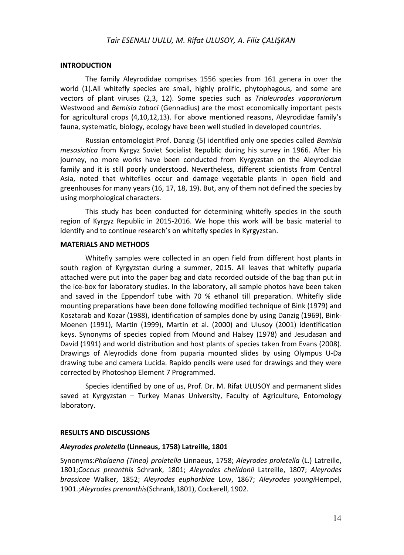# *Tair ESENALI UULU, M. Rifat ULUSOY, A. Filiz ÇALIŞKAN*

### **INTRODUCTION**

The family Aleyrodidae comprises 1556 species from 161 genera in over the world (1).All whitefly species are small, highly prolific, phytophagous, and some are vectors of plant viruses (2,3, 12). Some species such as *Trialeurodes vaporariorum* Westwood and *Bemisia tabaci* (Gennadius) are the most economically important pests for agricultural crops (4,10,12,13). For above mentioned reasons, Aleyrodidae family's fauna, systematic, biology, ecology have been well studied in developed countries.

Russian entomologist Prof. Danzig (5) identified only one species called *Bemisia mesasiatica* from Kyrgyz Soviet Socialist Republic during his survey in 1966. After his journey, no more works have been conducted from Kyrgyzstan on the Aleyrodidae family and it is still poorly understood. Nevertheless, different scientists from Central Asia, noted that whiteflies occur and damage vegetable plants in open field and greenhouses for many years (16, 17, 18, 19). But, any of them not defined the species by using morphological characters.

This study has been conducted for determining whitefly species in the south region of Kyrgyz Republic in 2015-2016. We hope this work will be basic material to identify and to continue research's on whitefly species in Kyrgyzstan.

## **MATERIALS AND METHODS**

Whitefly samples were collected in an open field from different host plants in south region of Kyrgyzstan during a summer, 2015. All leaves that whitefly puparia attached were put into the paper bag and data recorded outside of the bag than put in the ice-box for laboratory studies. In the laboratory, all sample photos have been taken and saved in the Eppendorf tube with 70 % ethanol till preparation. Whitefly slide mounting preparations have been done following modified technique of Bink (1979) and Kosztarab and Kozar (1988), identification of samples done by using Danzig (1969), Bink-Moenen (1991), Martin (1999), Martin et al. (2000) and Ulusoy (2001) identification keys. Synonyms of species copied from Mound and Halsey (1978) and Jesudasan and David (1991) and world distribution and host plants of species taken from Evans (2008). Drawings of Aleyrodids done from puparia mounted slides by using Olympus U-Da drawing tube and camera Lucida. Rapido pencils were used for drawings and they were corrected by Photoshop Element 7 Programmed.

Species identified by one of us, Prof. Dr. M. Rifat ULUSOY and permanent slides saved at Kyrgyzstan – Turkey Manas University, Faculty of Agriculture, Entomology laboratory.

#### **RESULTS AND DISCUSSIONS**

# *Aleyrodes proletella* **(Linneaus, 1758) Latreille, 1801**

Synonyms:*Phalaena (Tinea) proletella* Linnaeus, 1758; *Aleyrodes proletella* (L.) Latreille, 1801;*Coccus preanthis* Schrank, 1801; *Aleyrodes chelidonii* Latreille, 1807; *Aleyrodes brassicae* Walker, 1852; *Aleyrodes euphorbiae* Low, 1867; *Aleyrodes youngi*Hempel, 1901.;*Aleyrodes prenanthis*(Schrank,1801), Cockerell, 1902.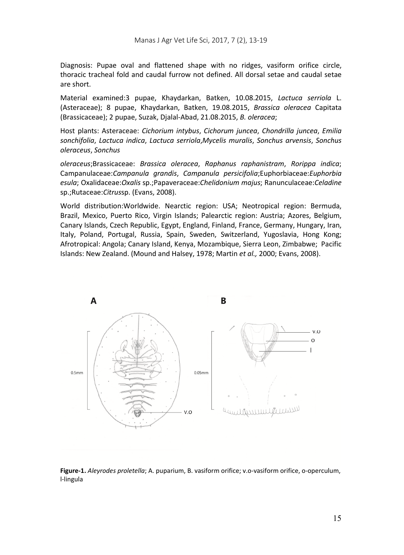Diagnosis: Pupae oval and flattened shape with no ridges, vasiform orifice circle, thoracic tracheal fold and caudal furrow not defined. All dorsal setae and caudal setae are short.

Material examined:3 pupae, Khaydarkan, Batken, 10.08.2015, *Lactuca serriola* L. (Asteraceae); 8 pupae, Khaydarkan, Batken, 19.08.2015, *Brassica oleracea* Capitata (Brassicaceae); 2 pupae, Suzak, Djalal-Abad, 21.08.2015, *B. oleracea*;

Host plants: Asteraceae: *Cichorium intybus*, *Cichorum juncea*, *Chondrilla juncea*, *Emilia sonchifolia*, *Lactuca indica*, *Lactuca serriola*,*Mycelis muralis*, *Sonchus arvensis*, *Sonchus oleraceus*, *Sonchus* 

*oleraceus*;Brassicaceae: *Brassica oleracea*, *Raphanus raphanistram*, *Rorippa indica*; Campanulaceae:*Campanula grandis*, *Campanula persicifolia*;Euphorbiaceae:*Euphorbia esula*; Oxalidaceae:*Oxalis* sp.;Papaveraceae:*Chelidonium majus*; Ranunculaceae:*Celadine*  sp.;Rutaceae:*Citrus*sp. (Evans, 2008).

World distribution:Worldwide. Nearctic region: USA; Neotropical region: Bermuda, Brazil, Mexico, Puerto Rico, Virgin Islands; Palearctic region: Austria; Azores, Belgium, Canary Islands, Czech Republic, Egypt, England, Finland, France, Germany, Hungary, Iran, Italy, Poland, Portugal, Russia, Spain, Sweden, Switzerland, Yugoslavia, Hong Kong; Afrotropical: Angola; Canary Island, Kenya, Mozambique, Sierra Leon, Zimbabwe; Pacific Islands: New Zealand. (Mound and Halsey, 1978; Martin *et al.,* 2000; Evans, 2008).



**Figure-1.** *Aleyrodes proletella*; A. puparium, B. vasiform orifice; v.o-vasiform orifice, o-operculum, l-lingula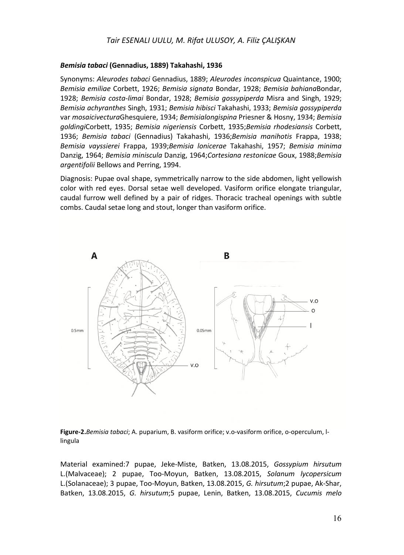# *Bemisia tabaci* **(Gennadius, 1889) Takahashi, 1936**

Synonyms: *Aleurodes tabaci* Gennadius, 1889; *Aleurodes inconspicua* Quaintance, 1900; *Bemisia emiliae* Corbett, 1926; *Bemisia signata* Bondar, 1928; *Bemisia bahiana*Bondar, 1928; *Bemisia costa-limai* Bondar, 1928; *Bemisia gossypiperda* Misra and Singh, 1929; *Bemisia achyranthes* Singh, 1931; *Bemisia hibisci* Takahashi, 1933; *Bemisia gossypiperda*  var *mosaicivectura*Ghesquiere, 1934; *Bemisialongispina* Priesner & Hosny, 1934; *Bemisia goldingi*Corbett, 1935; *Bemisia nigeriensis* Corbett, 1935;*Bemisia rhodesiansis* Corbett, 1936; *Bemisia tabaci* (Gennadius) Takahashi, 1936;*Bemisia manihotis* Frappa, 1938; *Bemisia vayssierei* Frappa, 1939;*Bemisia lonicerae* Takahashi, 1957; *Bemisia minima*  Danzig, 1964; *Bemisia miniscula* Danzig, 1964;*Cortesiana restonicae* Goux, 1988;*Bemisia argentifolii* Bellows and Perring, 1994.

Diagnosis: Pupae oval shape, symmetrically narrow to the side abdomen, light yellowish color with red eyes. Dorsal setae well developed. Vasiform orifice elongate triangular, caudal furrow well defined by a pair of ridges. Thoracic tracheal openings with subtle combs. Caudal setae long and stout, longer than vasiform orifice.





Material examined:7 pupae, Jeke-Miste, Batken, 13.08.2015, *Gossypium hirsutum*  L.(Malvaceae); 2 pupae, Too-Moyun, Batken, 13.08.2015, *Solanum lycopersicum*  L.(Solanaceae); 3 pupae, Too-Moyun, Batken, 13.08.2015, *G. hirsutum*;2 pupae, Ak-Shar, Batken, 13.08.2015, *G. hirsutum*;5 pupae, Lenin, Batken, 13.08.2015, *Cucumis melo*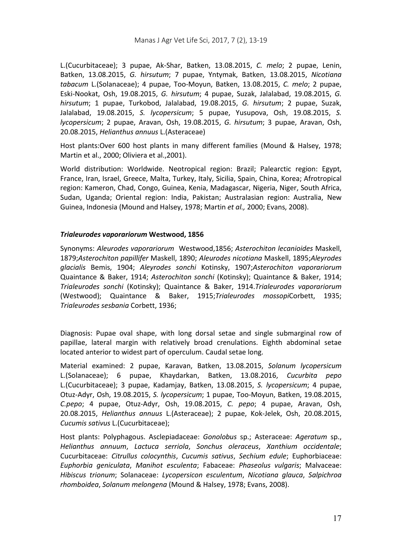L.(Cucurbitaceae); 3 pupae, Ak-Shar, Batken, 13.08.2015, *C. melo*; 2 pupae, Lenin, Batken, 13.08.2015, *G. hirsutum*; 7 pupae, Yntymak, Batken, 13.08.2015, *Nicotiana tabacum* L.(Solanaceae); 4 pupae, Too-Moyun, Batken, 13.08.2015, *C. melo*; 2 pupae, Eski-Nookat, Osh, 19.08.2015, *G. hirsutum*; 4 pupae, Suzak, Jalalabad, 19.08.2015, *G. hirsutum*; 1 pupae, Turkobod, Jalalabad, 19.08.2015, *G. hirsutum*; 2 pupae, Suzak, Jalalabad, 19.08.2015, *S. lycopersicum*; 5 pupae, Yusupova, Osh, 19.08.2015, *S. lycopersicum*; 2 pupae, Aravan, Osh, 19.08.2015, *G. hirsutum*; 3 pupae, Aravan, Osh, 20.08.2015, *Helianthus annuus* L.(Asteraceae)

Host plants:Over 600 host plants in many different families (Mound & Halsey, 1978; Martin et al., 2000; Oliviera et al.,2001).

World distribution: Worldwide. Neotropical region: Brazil; Palearctic region: Egypt, France, Iran, Israel, Greece, Malta, Turkey, Italy, Sicilia, Spain, China, Korea; Afrotropical region: Kameron, Chad, Congo, Guinea, Kenia, Madagascar, Nigeria, Niger, South Africa, Sudan, Uganda; Oriental region: India, Pakistan; Australasian region: Australia, New Guinea, Indonesia (Mound and Halsey, 1978; Martin *et al.,* 2000; Evans, 2008).

# *Trialeurodes vaporariorum* **Westwood, 1856**

Synonyms: *Aleurodes vaporariorum* Westwood,1856; *Asterochiton lecanioides* Maskell, 1879;*Asterochiton papillifer* Maskell, 1890; *Aleurodes nicotiana* Maskell, 1895;*Aleyrodes glacialis* Bemis, 1904; *Aleyrodes sonchi* Kotinsky, 1907;*Asterochiton vaporariorum* Quaintance & Baker, 1914; *Asterochiton sonchi* (Kotinsky); Quaintance & Baker, 1914; *Trialeurodes sonchi* (Kotinsky); Quaintance & Baker, 1914.*Trialeurodes vaporariorum* (Westwood); Quaintance & Baker, 1915;*Trialeurodes mossopi*Corbett, 1935; *Trialeurodes sesbania* Corbett, 1936;

Diagnosis: Pupae oval shape, with long dorsal setae and single submarginal row of papillae, lateral margin with relatively broad crenulations. Eighth abdominal setae located anterior to widest part of operculum. Caudal setae long.

Material examined: 2 pupae, Karavan, Batken, 13.08.2015, *Solanum lycopersicum* L.(Solanaceae); 6 pupae, Khaydarkan, Batken, 13.08.2016, *Cucurbita pepo* L.(Cucurbitaceae); 3 pupae, Kadamjay, Batken, 13.08.2015, *S. lycopersicum*; 4 pupae, Otuz-Adyr, Osh, 19.08.2015, *S. lycopersicum*; 1 pupae, Too-Moyun, Batken, 19.08.2015, *C.pepo*; 4 pupae, Otuz-Adyr, Osh, 19.08.2015, *C. pepo*; 4 pupae, Aravan, Osh, 20.08.2015, *Helianthus annuus* L.(Asteraceae); 2 pupae, Kok-Jelek, Osh, 20.08.2015, *Cucumis sativus* L.(Cucurbitaceae);

Host plants: Polyphagous. Asclepiadaceae: *Gonolobus* sp.; Asteraceae: *Ageratum* sp., *Helianthus annuum*, *Lactuca serriola*, *Sonchus oleraceus*, *Xanthium occidentale*; Cucurbitaceae: *Citrullus colocynthis*, *Cucumis sativus*, *Sechium edule*; Euphorbiaceae: *Euphorbia geniculata*, *Manihot esculenta*; Fabaceae: *Phaseolus vulgaris*; Malvaceae: *Hibiscus trionum*; Solanaceae: *Lycopersicon esculentum*, *Nicotiana glauca*, *Salpichroa rhomboidea*, *Solanum melongena* (Mound & Halsey, 1978; Evans, 2008).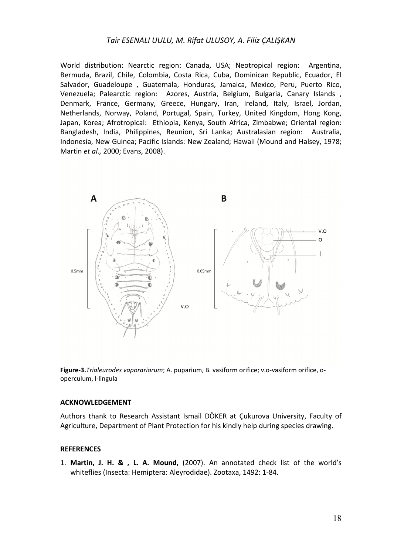# *Tair ESENALI UULU, M. Rifat ULUSOY, A. Filiz ÇALIŞKAN*

World distribution: Nearctic region: Canada, USA; Neotropical region: Argentina, Bermuda, Brazil, Chile, Colombia, Costa Rica, Cuba, Dominican Republic, Ecuador, El Salvador, Guadeloupe , Guatemala, Honduras, Jamaica, Mexico, Peru, Puerto Rico, Venezuela; Palearctic region: Azores, Austria, Belgium, Bulgaria, Canary Islands , Denmark, France, Germany, Greece, Hungary, Iran, Ireland, Italy, Israel, Jordan, Netherlands, Norway, Poland, Portugal, Spain, Turkey, United Kingdom, Hong Kong, Japan, Korea; Afrotropical: Ethiopia, Kenya, South Africa, Zimbabwe; Oriental region: Bangladesh, India, Philippines, Reunion, Sri Lanka; Australasian region: Australia, Indonesia, New Guinea; Pacific Islands: New Zealand; Hawaii (Mound and Halsey, 1978; Martin *et al.,* 2000; Evans, 2008).



**Figure-3.***Trialeurodes vaporariorum*; A. puparium, B. vasiform orifice; v.o-vasiform orifice, ooperculum, l-lingula

#### **ACKNOWLEDGEMENT**

Authors thank to Research Assistant Ismail DÖKER at Çukurova University, Faculty of Agriculture, Department of Plant Protection for his kindly help during species drawing.

## **REFERENCES**

1. **Martin, J. H. & , L. A. Mound,** (2007). An annotated check list of the world's whiteflies (Insecta: Hemiptera: Aleyrodidae). Zootaxa, 1492: 1-84.